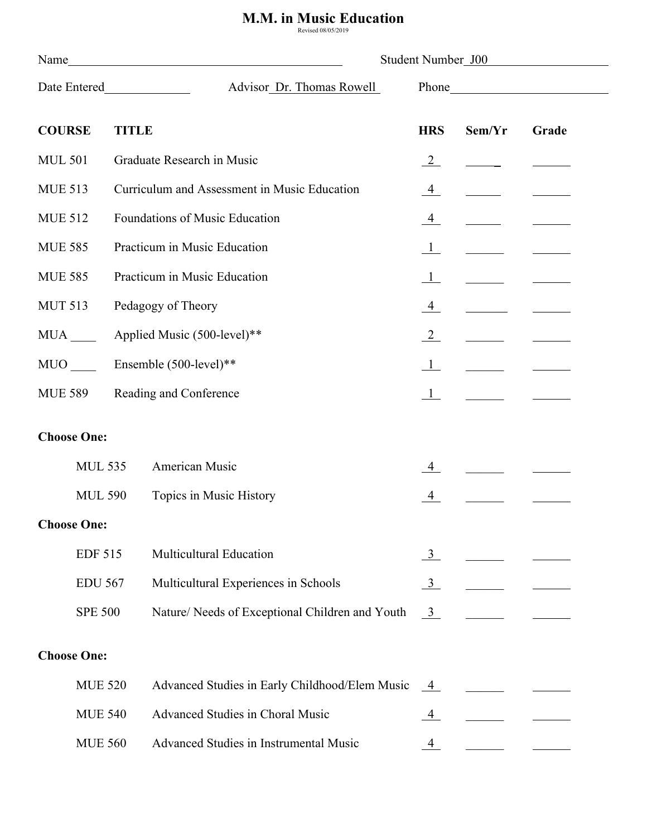## **M.M. in Music Education**

| Name               |                |                                              |                                                 | Student Number J00   |        |       |  |
|--------------------|----------------|----------------------------------------------|-------------------------------------------------|----------------------|--------|-------|--|
| Date Entered       |                |                                              | Advisor Dr. Thomas Rowell                       |                      |        |       |  |
| <b>COURSE</b>      |                | <b>TITLE</b>                                 |                                                 | <b>HRS</b>           | Sem/Yr | Grade |  |
| <b>MUL 501</b>     |                |                                              | Graduate Research in Music                      | $\frac{2}{2}$        |        |       |  |
| <b>MUE 513</b>     |                | Curriculum and Assessment in Music Education |                                                 | $\overline{4}$       |        |       |  |
| <b>MUE 512</b>     |                | Foundations of Music Education               |                                                 |                      |        |       |  |
| <b>MUE 585</b>     |                | Practicum in Music Education                 |                                                 |                      |        |       |  |
| <b>MUE 585</b>     |                | Practicum in Music Education                 |                                                 |                      |        |       |  |
| <b>MUT 513</b>     |                |                                              | Pedagogy of Theory                              | $\frac{4}{ }$        |        |       |  |
| <b>MUA</b>         |                |                                              | Applied Music (500-level)**                     | $\frac{2}{\sqrt{2}}$ |        |       |  |
| <b>MUO</b>         |                |                                              | Ensemble (500-level)**                          | $\mathbf{1}$         |        |       |  |
| <b>MUE 589</b>     |                | Reading and Conference                       |                                                 |                      |        |       |  |
| <b>Choose One:</b> |                |                                              |                                                 |                      |        |       |  |
|                    |                |                                              |                                                 |                      |        |       |  |
|                    | <b>MUL 535</b> |                                              | American Music                                  | 4                    |        |       |  |
|                    | <b>MUL 590</b> |                                              | Topics in Music History                         |                      |        |       |  |
| <b>Choose One:</b> |                |                                              |                                                 |                      |        |       |  |
|                    | <b>EDF 515</b> |                                              | Multicultural Education                         | $\frac{3}{2}$        |        |       |  |
| <b>EDU 567</b>     |                |                                              | Multicultural Experiences in Schools            | $\frac{3}{2}$        |        |       |  |
| <b>SPE 500</b>     |                |                                              | Nature/ Needs of Exceptional Children and Youth | $\overline{3}$       |        |       |  |
| <b>Choose One:</b> |                |                                              |                                                 |                      |        |       |  |
|                    | <b>MUE 520</b> |                                              | Advanced Studies in Early Childhood/Elem Music  | 4                    |        |       |  |
|                    | <b>MUE 540</b> |                                              | Advanced Studies in Choral Music                |                      |        |       |  |
|                    | <b>MUE 560</b> |                                              | Advanced Studies in Instrumental Music          | $\overline{4}$       |        |       |  |